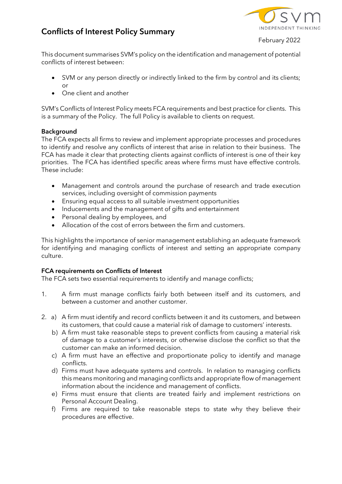# **Conflicts of Interest Policy Summary**

February 2022

This document summarises SVM's policy on the identification and management of potential conflicts of interest between:

- SVM or any person directly or indirectly linked to the firm by control and its clients; or
- One client and another

SVM's Conflicts of Interest Policy meets FCA requirements and best practice for clients. This is a summary of the Policy. The full Policy is available to clients on request.

## **Background**

The FCA expects all firms to review and implement appropriate processes and procedures to identify and resolve any conflicts of interest that arise in relation to their business. The FCA has made it clear that protecting clients against conflicts of interest is one of their key priorities. The FCA has identified specific areas where firms must have effective controls. These include:

- Management and controls around the purchase of research and trade execution services, including oversight of commission payments
- Ensuring equal access to all suitable investment opportunities
- Inducements and the management of gifts and entertainment
- Personal dealing by employees, and
- Allocation of the cost of errors between the firm and customers.

This highlights the importance of senior management establishing an adequate framework for identifying and managing conflicts of interest and setting an appropriate company culture.

### **FCA requirements on Conflicts of Interest**

The FCA sets two essential requirements to identify and manage conflicts;

- 1. A firm must manage conflicts fairly both between itself and its customers, and between a customer and another customer.
- 2. a) A firm must identify and record conflicts between it and its customers, and between its customers, that could cause a material risk of damage to customers' interests.
	- b) A firm must take reasonable steps to prevent conflicts from causing a material risk of damage to a customer's interests, or otherwise disclose the conflict so that the customer can make an informed decision.
	- c) A firm must have an effective and proportionate policy to identify and manage conflicts.
	- d) Firms must have adequate systems and controls. In relation to managing conflicts this means monitoring and managing conflicts and appropriate flow of management information about the incidence and management of conflicts.
	- e) Firms must ensure that clients are treated fairly and implement restrictions on Personal Account Dealing.
	- f) Firms are required to take reasonable steps to state why they believe their procedures are effective.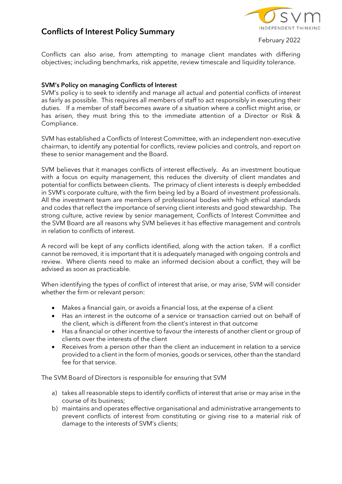## **Conflicts of Interest Policy Summary**

February 2022

Conflicts can also arise, from attempting to manage client mandates with differing objectives; including benchmarks, risk appetite, review timescale and liquidity tolerance.

## **SVM's Policy on managing Conflicts of Interest**

SVM's policy is to seek to identify and manage all actual and potential conflicts of interest as fairly as possible. This requires all members of staff to act responsibly in executing their duties. If a member of staff becomes aware of a situation where a conflict might arise, or has arisen, they must bring this to the immediate attention of a Director or Risk & Compliance.

SVM has established a Conflicts of Interest Committee, with an independent non-executive chairman, to identify any potential for conflicts, review policies and controls, and report on these to senior management and the Board.

SVM believes that it manages conflicts of interest effectively. As an investment boutique with a focus on equity management, this reduces the diversity of client mandates and potential for conflicts between clients. The primacy of client interests is deeply embedded in SVM's corporate culture, with the firm being led by a Board of investment professionals. All the investment team are members of professional bodies with high ethical standards and codes that reflect the importance of serving client interests and good stewardship. The strong culture, active review by senior management, Conflicts of Interest Committee and the SVM Board are all reasons why SVM believes it has effective management and controls in relation to conflicts of interest.

A record will be kept of any conflicts identified, along with the action taken. If a conflict cannot be removed, it is important that it is adequately managed with ongoing controls and review. Where clients need to make an informed decision about a conflict, they will be advised as soon as practicable.

When identifying the types of conflict of interest that arise, or may arise, SVM will consider whether the firm or relevant person:

- Makes a financial gain, or avoids a financial loss, at the expense of a client
- Has an interest in the outcome of a service or transaction carried out on behalf of the client, which is different from the client's interest in that outcome
- Has a financial or other incentive to favour the interests of another client or group of clients over the interests of the client
- Receives from a person other than the client an inducement in relation to a service provided to a client in the form of monies, goods or services, other than the standard fee for that service.

The SVM Board of Directors is responsible for ensuring that SVM

- a) takes all reasonable steps to identify conflicts of interest that arise or may arise in the course of its business;
- b) maintains and operates effective organisational and administrative arrangements to prevent conflicts of interest from constituting or giving rise to a material risk of damage to the interests of SVM's clients;